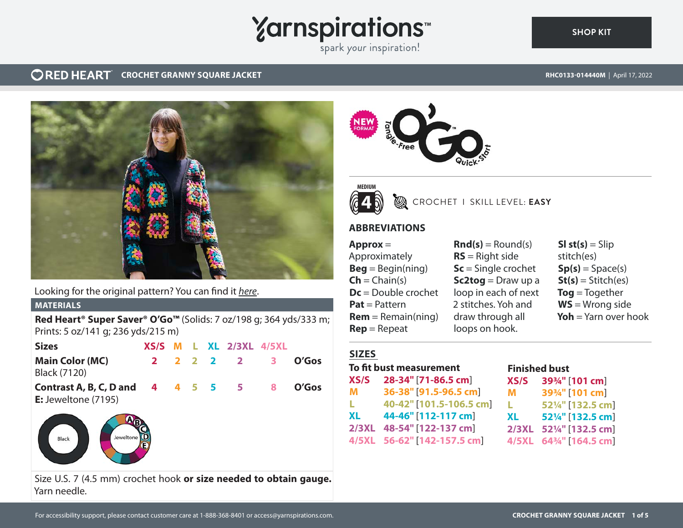## **Yarnspirations**

spark your inspiration!

#### **CRED HEART** CROCHET GRANNY SQUARE JACKET

**[SHOP KIT](https://www.yarnspirations.com/RHC0133-014440M.html#utm_source=pdf-yarnspirations&utm_medium=referral)**



Looking for the original pattern? You can find it *[here](https://www.yarnspirations.com/on/demandware.static/-/Sites-master-catalog-spinrite/default/dw440c242d/PDF/RHC0133-014440M-1.pdf)*.

#### **MATERIALS**

**Red Heart® Super Saver® O'Go™** (Solids: 7 oz/198 g; 364 yds/333 m; Prints: 5 oz/141 g; 236 yds/215 m)

| <b>Sizes</b>                                                             |  |  | XS/S M L XL 2/3XL 4/5XL |       |
|--------------------------------------------------------------------------|--|--|-------------------------|-------|
| <b>Main Color (MC)</b>                                                   |  |  | 2 2 2 2 2 3             | O'Gos |
| <b>Black (7120)</b>                                                      |  |  |                         |       |
| <b>Contrast A, B, C, D and 4 4 5 5 5 8</b><br><b>E:</b> Jeweltone (7195) |  |  |                         | O'Gos |



Size U.S. 7 (4.5 mm) crochet hook **or size needed to obtain gauge.** Yarn needle.





CROCHET I SKILL LEVEL: **EASY**

#### **ABBREVIATIONS**

**Approx** = Approximately  $\textbf{Beg} = \text{Begin}(ning)$  $\mathsf{Ch} = \mathsf{Chain}(s)$ **Dc** = Double crochet **Pat** = Pattern  $Rem = Remain(ning)$ **Rep** = Repeat

 $\mathbf{Rnd}(s) = \text{Round}(s)$ **RS** = Right side **Sc** = Single crochet **Sc2tog** = Draw up a loop in each of next 2 stitches. Yoh and draw through all loops on hook.

#### $SI$  st(s)  $=$  Slip stitch(es)  $Sp(s) = Space(s)$  $St(s) = Stitch(es)$ **Tog** = Together **WS** = Wrong side **Yoh** = Yarn over hook

### **SIZES**

| To fit bust measurement |                             |     |
|-------------------------|-----------------------------|-----|
| XS/S                    | 28-34" [71-86.5 cm]         | XS/ |
| м                       | 36-38" [91.5-96.5 cm]       | м   |
| L.                      | 40-42" [101.5-106.5 cm]     | L   |
| XL                      | 44-46" [112-117 cm]         | XL  |
| <b>2/3XL</b>            | 48-54" [122-137 cm]         | 2/3 |
|                         | 4/5XL 56-62" [142-157.5 cm] | 4/5 |

#### **Finished bust XS/S 39¾"** [**101 cm**] **M 39¾"** [**101 cm**] **L 52¼"** [**132.5 cm**] **XL 52¼"** [**132.5 cm**] **2/3XL 52¼"** [**132.5 cm**]

**4/5XL 64¾"** [**164.5 cm**]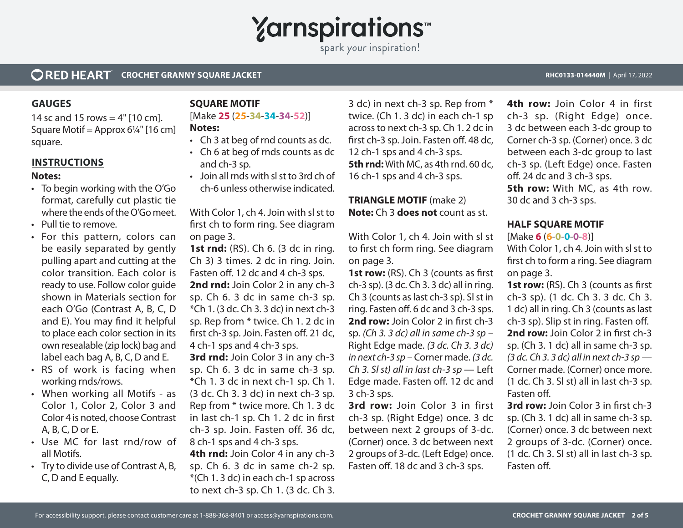## **Yarnspirations**

spark your inspiration!

#### **ORED HEART CROCHET GRANNY SQUARE JACKET RECORD AND THE CONSUMING STATE AND RECORD AND RECORD AND RECORD A POINT AND A POINT AND A POINT AND A POINT AND A POINT AND A POINT AND A POINT AND RECORD AND RECORD AND RECORD AND RELATION**

#### **GAUGES**

14 sc and 15 rows  $=$  4" [10 cm]. Square Motif = Approx  $6\frac{1}{4}$ " [16 cm] square.

#### **INSTRUCTIONS**

#### **Notes:**

- To begin working with the O'Go format, carefully cut plastic tie where the ends of the O'Go meet.
- Pull tie to remove.
- For this pattern, colors can be easily separated by gently pulling apart and cutting at the color transition. Each color is ready to use. Follow color guide shown in Materials section for each O'Go (Contrast A, B, C, D and E). You may find it helpful to place each color section in its own resealable (zip lock) bag and label each bag A, B, C, D and E.
- RS of work is facing when working rnds/rows.
- When working all Motifs as Color 1, Color 2, Color 3 and Color 4 is noted, choose Contrast A, B, C, D or E.
- Use MC for last rnd/row of all Motifs.
- Try to divide use of Contrast A, B, C, D and E equally.

#### **SQUARE MOTIF**

#### [Make **25** (**25**-**34**-**34**-**34**-**52**)] **Notes:**

- Ch 3 at beg of rnd counts as dc.
- Ch 6 at beg of rnds counts as dc and ch-3 sp.
- Join all rnds with sl st to 3rd ch of ch-6 unless otherwise indicated.

With Color 1, ch 4. Join with sl st to first ch to form ring. See diagram on page 3.

**1st rnd:** (RS). Ch 6. (3 dc in ring. Ch 3) 3 times. 2 dc in ring. Join. Fasten off. 12 dc and 4 ch-3 sps. **2nd rnd:** Join Color 2 in any ch-3 sp. Ch 6. 3 dc in same ch-3 sp. \*Ch 1. (3 dc. Ch 3. 3 dc) in next ch-3 sp. Rep from \* twice. Ch 1. 2 dc in first ch-3 sp. Join. Fasten off. 21 dc, 4 ch-1 sps and 4 ch-3 sps.

**3rd rnd:** Join Color 3 in any ch-3 sp. Ch 6. 3 dc in same ch-3 sp. \*Ch 1. 3 dc in next ch-1 sp. Ch 1. (3 dc. Ch 3. 3 dc) in next ch-3 sp. Rep from \* twice more. Ch 1. 3 dc in last ch-1 sp. Ch 1. 2 dc in first ch-3 sp. Join. Fasten off. 36 dc, 8 ch-1 sps and 4 ch-3 sps.

**4th rnd:** Join Color 4 in any ch-3 sp. Ch 6. 3 dc in same ch-2 sp. \*(Ch 1. 3 dc) in each ch-1 sp across to next ch-3 sp. Ch 1. (3 dc. Ch 3. 3 dc) in next ch-3 sp. Rep from \* twice. (Ch 1. 3 dc) in each ch-1 sp across to next ch-3 sp. Ch 1. 2 dc in first ch-3 sp. Join. Fasten off. 48 dc, 12 ch-1 sps and 4 ch-3 sps. **5th rnd:** With MC, as 4th rnd. 60 dc, 16 ch-1 sps and 4 ch-3 sps.

#### **TRIANGLE MOTIF** (make 2) **Note:** Ch 3 **does not** count as st.

With Color 1, ch 4. Join with sl st to first ch form ring. See diagram on page 3.

**1st row:** (RS). Ch 3 (counts as first ch-3 sp). (3 dc. Ch 3. 3 dc) all in ring. Ch 3 (counts as last ch-3 sp). Sl st in ring. Fasten off. 6 dc and 3 ch-3 sps. **2nd row:** Join Color 2 in first ch-3 sp. *(Ch 3. 3 dc) all in same ch-3 sp* – Right Edge made. *(3 dc. Ch 3. 3 dc) in next ch-3 sp* – Corner made. *(3 dc. Ch 3. Sl st) all in last ch-3 sp* — Left Edge made. Fasten off. 12 dc and 3 ch-3 sps.

**3rd row:** Join Color 3 in first ch-3 sp. (Right Edge) once. 3 dc between next 2 groups of 3-dc. (Corner) once. 3 dc between next 2 groups of 3-dc. (Left Edge) once. Fasten off. 18 dc and 3 ch-3 sps.

**4th row:** Join Color 4 in first ch-3 sp. (Right Edge) once. 3 dc between each 3-dc group to Corner ch-3 sp. (Corner) once. 3 dc between each 3-dc group to last ch-3 sp. (Left Edge) once. Fasten off. 24 dc and 3 ch-3 sps. **5th row:** With MC, as 4th row. 30 dc and 3 ch-3 sps.

#### **HALF SQUARE MOTIF**

[Make **6** (**6**-**0**-**0**-**0**-**8**)]

With Color 1, ch 4. Join with sl st to first ch to form a ring. See diagram on page 3.

**1st row:** (RS). Ch 3 (counts as first ch-3 sp). (1 dc. Ch 3. 3 dc. Ch 3. 1 dc) all in ring. Ch 3 (counts as last ch-3 sp). Slip st in ring. Fasten off. **2nd row:** Join Color 2 in first ch-3 sp. (Ch 3. 1 dc) all in same ch-3 sp. *(3 dc. Ch 3. 3 dc) all in next ch-3 sp* — Corner made. (Corner) once more. (1 dc. Ch 3. Sl st) all in last ch-3 sp. Fasten off.

**3rd row:** Join Color 3 in first ch-3 sp. (Ch 3. 1 dc) all in same ch-3 sp. (Corner) once. 3 dc between next 2 groups of 3-dc. (Corner) once. (1 dc. Ch 3. Sl st) all in last ch-3 sp. Fasten off.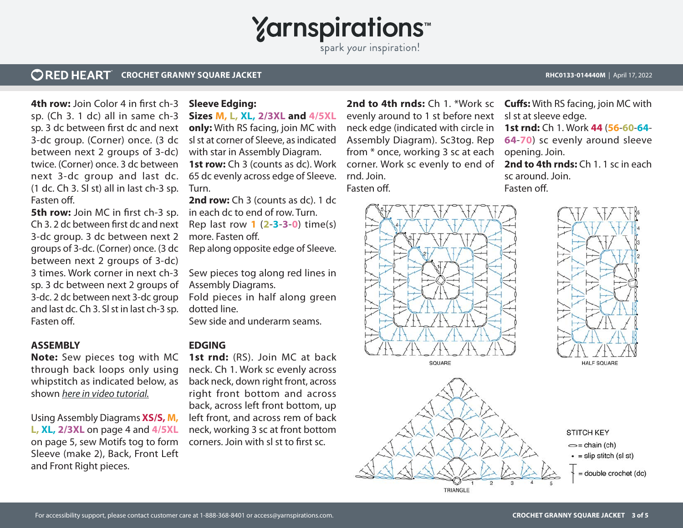## **Yarnspirations**

spark your inspiration!

#### **ORED HEART CROCHET GRANNY SQUARE JACKET REGULARS AND REGULAR CONSUMING THE CONSUMING STATE AND REGULAR CONSUMING A pril 17, 2022**

**4th row:** Join Color 4 in first ch-3 sp. (Ch 3. 1 dc) all in same ch-3 sp. 3 dc between first dc and next 3-dc group. (Corner) once. (3 dc between next 2 groups of 3-dc) twice. (Corner) once. 3 dc between next 3-dc group and last dc. (1 dc. Ch 3. Sl st) all in last ch-3 sp. Fasten off.

**5th row:** Join MC in first ch-3 sp. Ch 3. 2 dc between first dc and next 3-dc group. 3 dc between next 2 groups of 3-dc. (Corner) once. (3 dc between next 2 groups of 3-dc) 3 times. Work corner in next ch-3 sp. 3 dc between next 2 groups of 3-dc. 2 dc between next 3-dc group and last dc. Ch 3. Sl st in last ch-3 sp. Fasten off.

#### **ASSEMBLY**

**Note:** Sew pieces tog with MC through back loops only using whipstitch as indicated below, as shown *[here in video tutorial.](https://www.youtube.com/watch?v=yQc1OuaFgRA&t=17s)*

Using Assembly Diagrams **XS/S, M, L, XL, 2/3XL** on page 4 and **4/5XL**  on page 5, sew Motifs tog to form Sleeve (make 2), Back, Front Left and Front Right pieces.

#### **Sleeve Edging:**

**Sizes M, L, XL, 2/3XL and 4/5XL only:** With RS facing, join MC with sl st at corner of Sleeve, as indicated with star in Assembly Diagram. **1st row:** Ch 3 (counts as dc). Work 65 dc evenly across edge of Sleeve. Turn.

**2nd row:** Ch 3 (counts as dc). 1 dc in each dc to end of row. Turn. Rep last row **1** (**2**-**3**-**3**-**0**) time(s)

more. Fasten off.

Rep along opposite edge of Sleeve.

Sew pieces tog along red lines in Assembly Diagrams.

Fold pieces in half along green dotted line.

Sew side and underarm seams.

#### **EDGING**

1st rnd: (RS). Join MC at back neck. Ch 1. Work sc evenly across back neck, down right front, across right front bottom and across back, across left front bottom, up left front, and across rem of back neck, working 3 sc at front bottom corners. Join with sl st to first sc.

evenly around to 1 st before next neck edge (indicated with circle in Assembly Diagram). Sc3tog. Rep from \* once, working 3 sc at each corner. Work sc evenly to end of rnd. Join. Fasten off.

**2nd to 4th rnds:** Ch 1. \*Work sc **Cuffs:** With RS facing, join MC with sl st at sleeve edge. **1st rnd:** Ch 1. Work **44** (**56**-**60**-**64**- **64**-**70**) sc evenly around sleeve opening. Join. **2nd to 4th rnds:** Ch 1. 1 sc in each sc around. Join.

Fasten off.

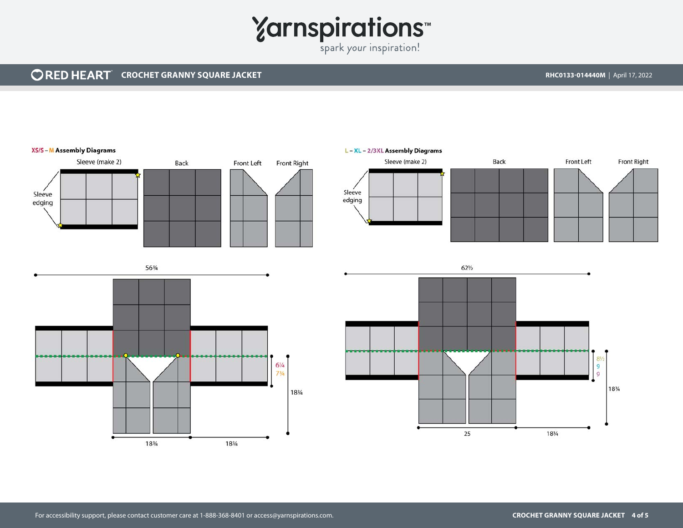# Yarnspirations<sup>\*\*</sup>

#### **CORED HEART** CROCHET GRANNY SQUARE JACKET **REDUCES AND A CONSTRUCT AND RECOT AND RECOT ASSOCIATES RHC0133-014440M** | April 17, 2022